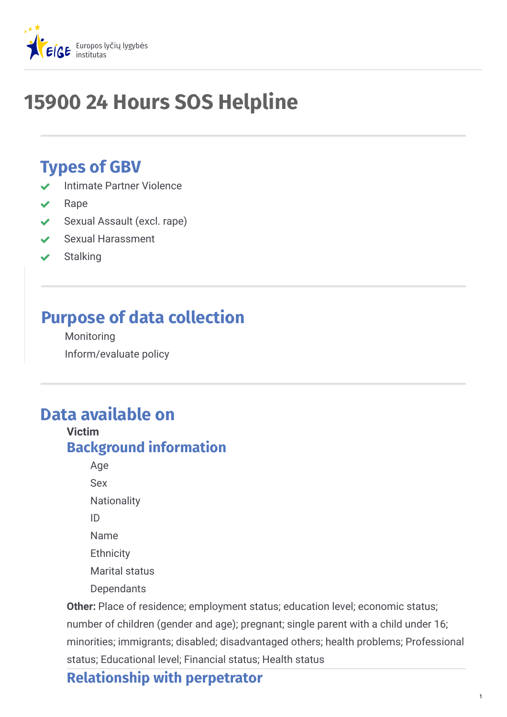

# **15900 24 Hours SOS Helpline**

# **Types of GBV**

- Intimate Partner Violence
- Rape
- Sexual Assault (excl. rape)
- Sexual Harassment
- Stalking

# **Purpose of data collection**

Monitoring Inform/evaluate policy

# **Data available on**

**Victim Background information**

> Age Sex **Nationality** ID Name **Ethnicity** Marital status Dependants

**Other:** Place of residence; employment status; education level; economic status; number of children (gender and age); pregnant; single parent with a child under 16; minorities; immigrants; disabled; disadvantaged others; health problems; Professional status; Educational level; Financial status; Health status

## **Relationship with perpetrator**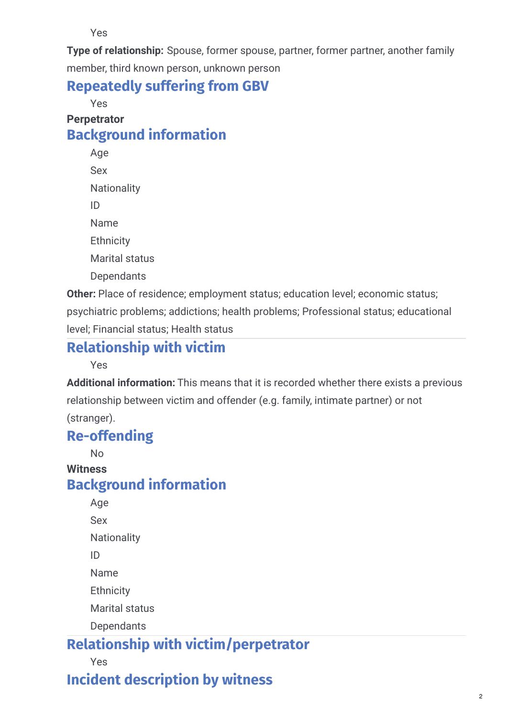Yes

**Type of relationship:** Spouse, former spouse, partner, former partner, another family member, third known person, unknown person

### **Repeatedly suffering from GBV**

Yes

### **Perpetrator Background information**

Age Sex **Nationality** ID Name **Ethnicity** Marital status **Dependants** 

**Other:** Place of residence; employment status; education level; economic status; psychiatric problems; addictions; health problems; Professional status; educational level; Financial status; Health status

# **Relationship with victim**

Yes

**Additional information:** This means that it is recorded whether there exists a previous relationship between victim and offender (e.g. family, intimate partner) or not (stranger).

## **Re-offending**

No

### **Witness Background information**

Age Sex Nationality ID Name **Ethnicity** Marital status **Dependants** 

# **Relationship with victim/perpetrator**

Yes

# **Incident description by witness**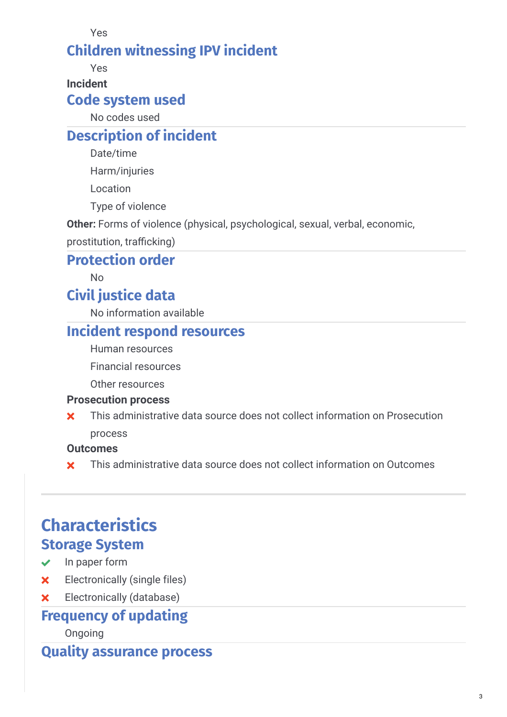Yes

### **Children witnessing IPV incident**

Yes

**Incident**

### **Code system used**

No codes used

## **Description of incident**

Date/time

Harm/injuries

Location

Type of violence

**Other:** Forms of violence (physical, psychological, sexual, verbal, economic,

prostitution, trafficking)

### **Protection order**

No

### **Civil justice data**

No information available

### **Incident respond resources**

Human resources

Financial resources

Other resources

#### **Prosecution process**

This administrative data source does not collect information on Prosecution process  $\overline{\mathbf{x}}$ 

#### **Outcomes**

**x** This administrative data source does not collect information on Outcomes

# **Characteristics Storage System**

# $\vee$  In paper form

- 
- Electronically (single files)
- Electronically (database)

# **Frequency of updating**

Ongoing

### **Quality assurance process**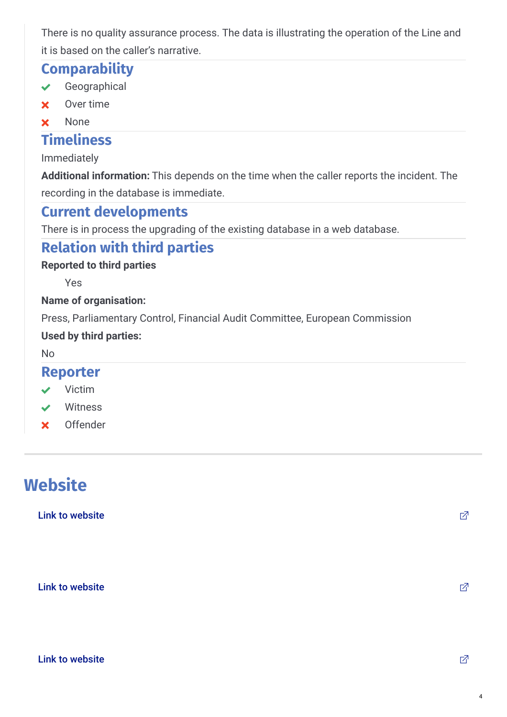There is no quality assurance process. The data is illustrating the operation of the Line and it is based on the caller's narrative.

### **Comparability**

- Geographical
- Over time
- **x** None

### **Timeliness**

Immediately

Additional information: This depends on the time when the caller reports the incident. The recording in the database is immediate.

# **Current developments**

There is in process the upgrading of the existing database in a web database.

# **Relation with third parties**

### **Reported to third parties**

Yes

### **Name of organisation:**

Press, Parliamentary Control, Financial Audit Committee, European Commission

### **Used by third parties:**

No

### **Reporter**

- $\vee$  Victim
- Witness
- Offender

# **Website**

Link to [website](http://www.ypes.gr)  $\Box$ 

Link to [website](http://www.isotita.gr) the contract of the contract of  $\mathbb Z$ 

 $\Box$  Link to [website](http://www.womensos.gr)  $\Box$